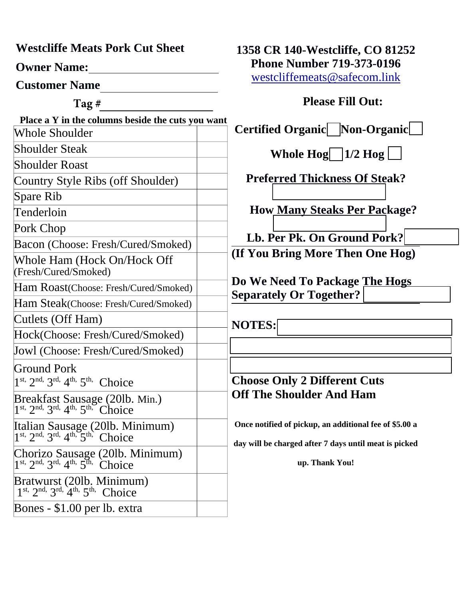**Westcliffe Meats Pork Cut Sheet**

**Owner Name:**

**Customer Name**

**Tag #**

 **Place a Y in the columns beside the cuts you want**  Whole Shoulder Shoulder Steak Shoulder Roast Country Style Ribs (off Shoulder) Spare Rib Tenderloin Pork Chop Bacon (Choose: Fresh/Cured/Smoked) Whole Ham (Hock On/Hock Off (Fresh/Cured/Smoked) Ham Roast(Choose: Fresh/Cured/Smoked) Ham Steak(Choose: Fresh/Cured/Smoked) Cutlets (Off Ham) Hock(Choose: Fresh/Cured/Smoked) Jowl (Choose: Fresh/Cured/Smoked) Ground Pork 1<sup>st, 2nd, 3<sup>rd, 4th, 5th,</sup> Choice</sup> Breakfast Sausage (20lb. Min.)  $1<sup>st</sup>$ ,  $2<sup>nd</sup>$ ,  $3<sup>rd</sup>$ ,  $4<sup>th</sup>$ ,  $5<sup>th</sup>$ , Choice Italian Sausage (20lb. Minimum)  $1<sup>st</sup>$ ,  $2<sup>nd</sup>$ ,  $3<sup>rd</sup>$ ,  $4<sup>th</sup>$ ,  $5<sup>th</sup>$ , Choice Chorizo Sausage (20lb. Minimum)  $1^{st}$ ,  $2^{nd}$ ,  $3^{rd}$ ,  $4^{th}$ ,  $5^{th}$ , Choice Bratwurst (20lb. Minimum)  $1^{st}$ ,  $2^{nd}$ ,  $3^{rd}$ ,  $4^{th}$ ,  $5^{th}$ , Choice

Bones - \$1.00 per lb. extra

**1358 CR 140-Westcliffe, CO 81252 Phone Number 719-373-0196** [westcliffemeats@safecom.link](mailto:westcliffemeats@safecom.link)

## **Please Fill Out:**

**Certified Organic / Non-Organic** 

**Whole Hog**  $\boxed{1/2 \text{ Hog}}$ 

**Preferred Thickness Of Steak?** 

 **How Many Steaks Per Package?**

 **Lb. Per Pk. On Ground Pork? (If You Bring More Then One Hog)**

**Do We Need To Package The Hogs Separately Or Together?**

**NOTES:** 

## **Choose Only 2 Different Cuts Off The Shoulder And Ham**

**Once notified of pickup, an additional fee of \$5.00 a**

**day will be charged after 7 days until meat is picked**

**up. Thank You!**